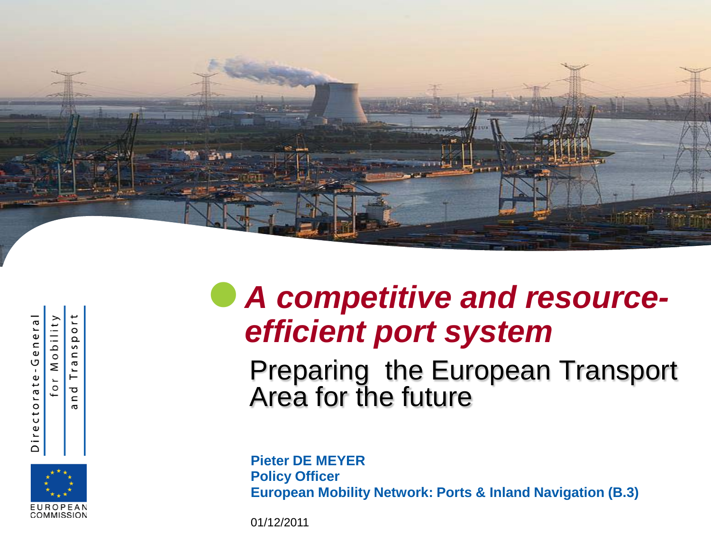

Directorate-General Mobility  $\overline{0}$ 

ъ C

 $\circ$  $\Omega$  $\subset$ Б

 $\vdash$ 

#### EUROPEAN COMMISSION

#### *A competitive and resourceefficient port system*

Preparing the European Transport Area for the future

**Pieter DE MEYER Policy Officer European Mobility Network: Ports & Inland Navigation (B.3)**

01/12/2011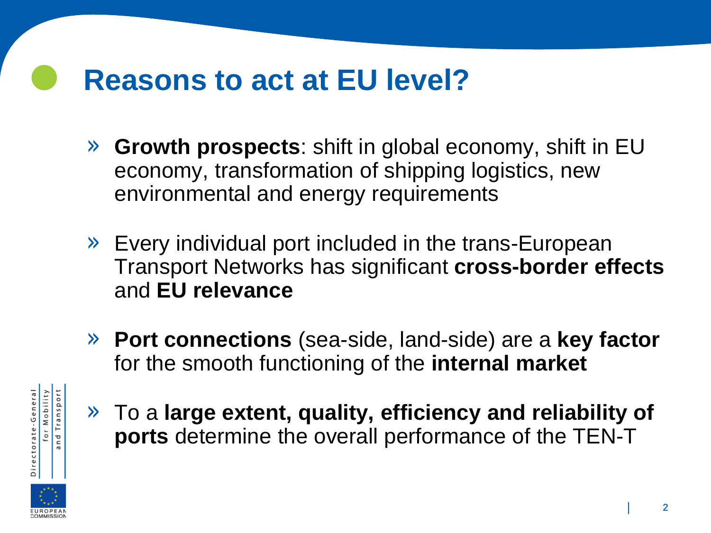#### **Reasons to act at EU level?**

- » **Growth prospects**: shift in global economy, shift in EU economy, transformation of shipping logistics, new environmental and energy requirements
- » Every individual port included in the trans-European Transport Networks has significant **cross-border effects** and **EU relevance**
- » **Port connections** (sea-side, land-side) are a **key factor** for the smooth functioning of the **internal market**



» To a **large extent, quality, efficiency and reliability of ports** determine the overall performance of the TEN-T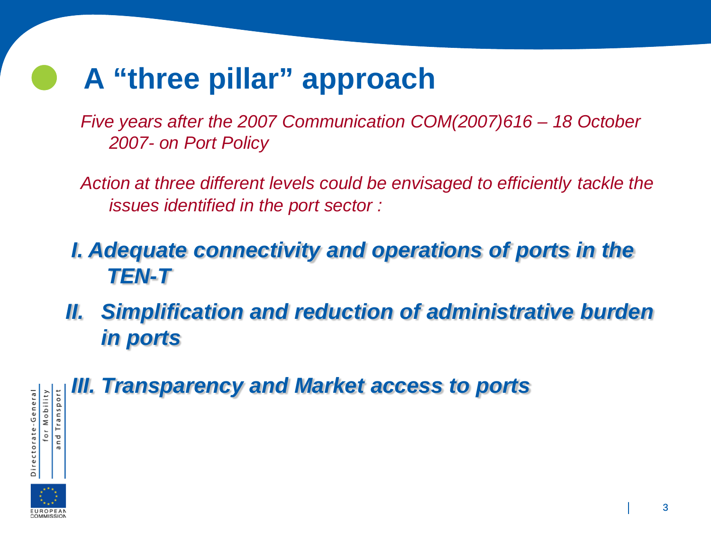## **A "three pillar" approach**

*Five years after the 2007 Communication COM(2007)616 – 18 October 2007- on Port Policy*

*Action at three different levels could be envisaged to efficiently tackle the issues identified in the port sector :*

#### *I. Adequate connectivity and operations of ports in the TEN-T*

**II. Simplification and reduction of administrative burden** *in ports*

#### *III. Transparency and Market access to ports* Transport

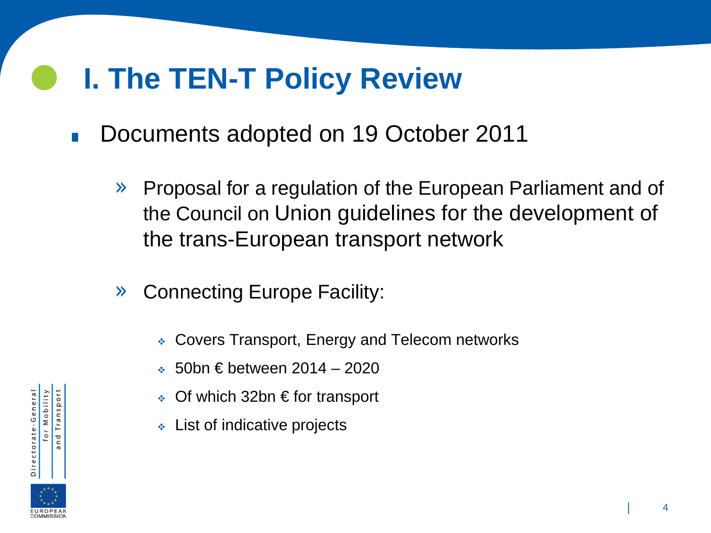#### **I. The TEN-T Policy Review**

- . Documents adopted on 19 October 2011
	- » Proposal for a regulation of the European Parliament and of the Council on Union guidelines for the development of the trans-European transport network
	- » Connecting Europe Facility:
		- Covers Transport, Energy and Telecom networks
		- $\div$  50bn € between 2014 2020
		- Of which 32bn € for transport
		- List of indicative projects

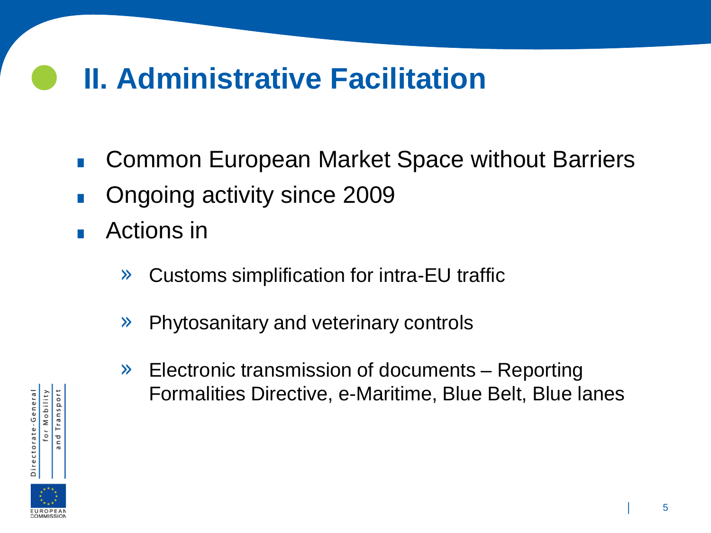### **II. Administrative Facilitation**

- . Common European Market Space without Barriers
- . Ongoing activity since 2009
- **.** Ongoing a<br>**.** Actions in
	- » Customs simplification for intra-EU traffic
	- » Phytosanitary and veterinary controls
	- » Electronic transmission of documents Reporting Formalities Directive, e-Maritime, Blue Belt, Blue lanes

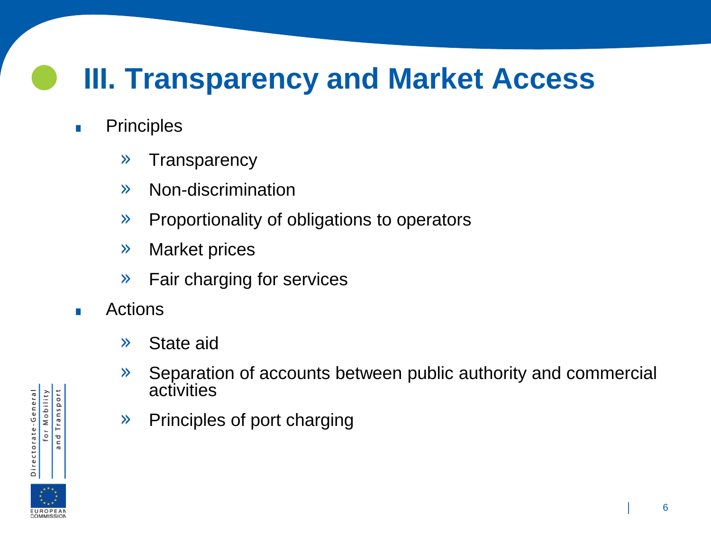## **III. Transparency and Market Access**

- . Principles
	- » Transparency
	- » Non-discrimination
	- » Proportionality of obligations to operators
	- » Market prices
	- » Fair charging for services
- . Actions
	- » State aid
	- » Separation of accounts between public authority and commercial activities
	- » Principles of port charging

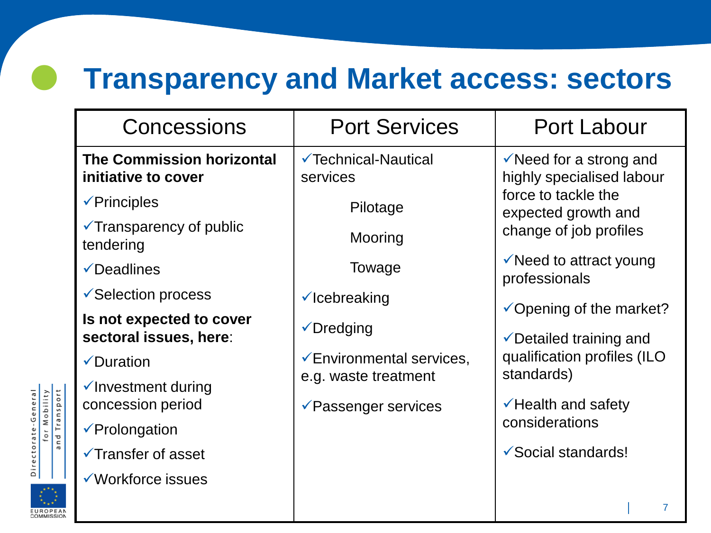#### **Transparency and Market access: sectors**

| Concessions                                             | <b>Port Services</b>                            | <b>Port Labour</b>                                                                                                                      |
|---------------------------------------------------------|-------------------------------------------------|-----------------------------------------------------------------------------------------------------------------------------------------|
| <b>The Commission horizontal</b><br>initiative to cover | <b>√Technical-Nautical</b><br>services          | $\checkmark$ Need for a strong and<br>highly specialised labour<br>force to tackle the<br>expected growth and<br>change of job profiles |
| $\sqrt{P}$ rinciples                                    | Pilotage                                        |                                                                                                                                         |
| $\checkmark$ Transparency of public<br>tendering        | Mooring                                         |                                                                                                                                         |
| $\sqrt{\phantom{a}}$ Deadlines                          | Towage                                          | $\checkmark$ Need to attract young<br>professionals                                                                                     |
| ✔ Selection process                                     | $\checkmark$ Icebreaking                        | $\checkmark$ Opening of the market?                                                                                                     |
| Is not expected to cover<br>sectoral issues, here:      | $\sqrt{D}$ redging                              | ✔ Detailed training and                                                                                                                 |
| $\checkmark$ Duration                                   | <del></del> <del></del> Environmental services, | qualification profiles (ILO                                                                                                             |
| √Investment during                                      | e.g. waste treatment                            | standards)                                                                                                                              |
| concession period                                       | <b>Example Features</b> Persian Persian         | $\checkmark$ Health and safety<br>considerations                                                                                        |
| $\sqrt{P}$ rolongation                                  |                                                 |                                                                                                                                         |
| <b>√Transfer of asset</b>                               |                                                 | ✔ Social standards!                                                                                                                     |
| ✔ Workforce issues                                      |                                                 |                                                                                                                                         |

| 7



**EUROPEAN**<br>COMMISSION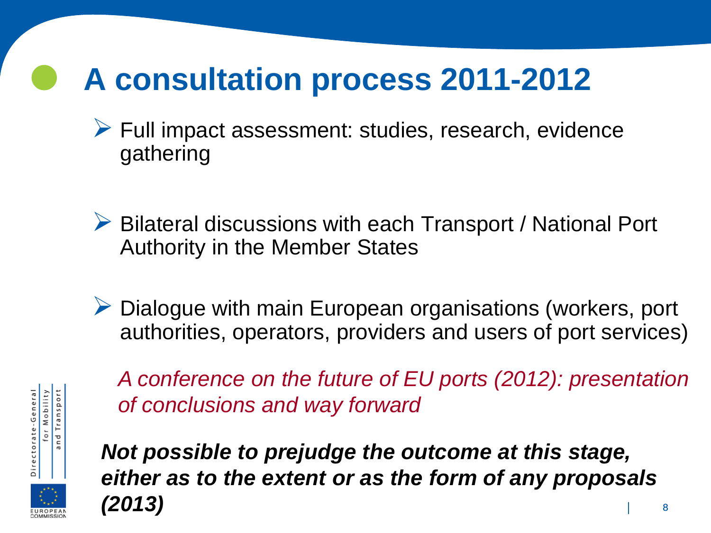# **A consultation process 2011-2012**

- $\triangleright$  Full impact assessment: studies, research, evidence gathering
- ▶ Bilateral discussions with each Transport / National Port Authority in the Member States
- $\triangleright$  Dialogue with main European organisations (workers, port authorities, operators, providers and users of port services)



*A conference on the future of EU ports (2012): presentation of conclusions and way forward*



*Not possible to prejudge the outcome at this stage, either as to the extent or as the form of any proposals (2013)*